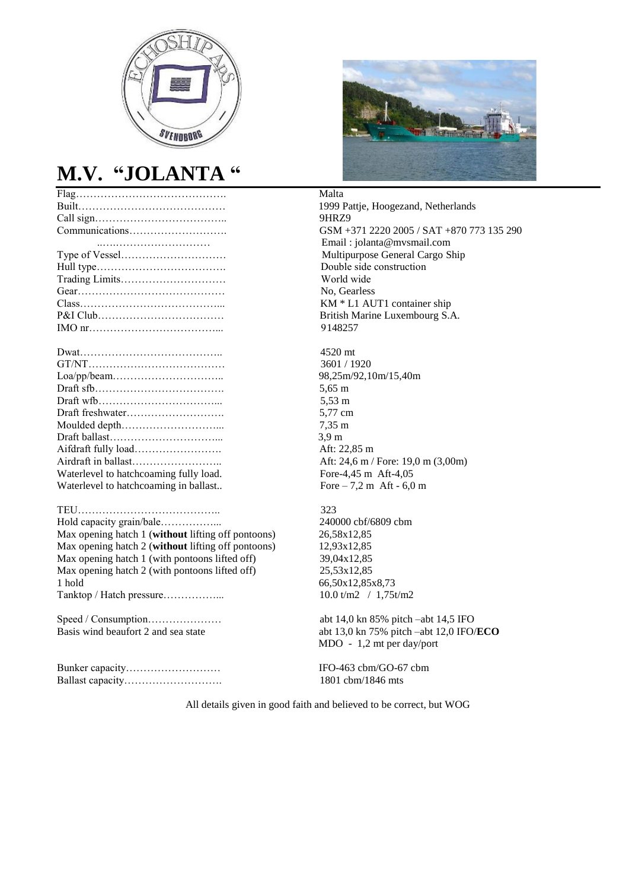

### **M.V. "JOLANTA "**

|               | Malta                                  |
|---------------|----------------------------------------|
|               | 1999 Pa                                |
|               | 9HRZ9                                  |
|               | $GSM +$                                |
|               | Email:                                 |
|               | Multipu                                |
|               | Double                                 |
|               | World v                                |
|               | No, Gea                                |
|               | $KM * L$                               |
|               | British l                              |
|               | 914825                                 |
|               | $4520 \text{ m}$                       |
|               | 3601/1                                 |
|               | 98,25m/                                |
|               | $5,65 \; \mathrm{m}$                   |
|               | 5,53 m                                 |
|               | 5,77 cm                                |
| Moulded depth | $7,35 \; \text{m}$                     |
|               | 3.9 <sub>m</sub>                       |
|               | Aft: 22,                               |
|               | $\mathbf{r}$ $\mathbf{r}$ $\mathbf{r}$ |

#### TEU………………………………….. 323

Hold capacity grain/bale……………... 240000 cbf/6809 cbm Max opening hatch 1 (**without** lifting off pontoons) 26,58x12,85<br>Max opening hatch 2 (**without** lifting off pontoons) 12,93x12,85 Max opening hatch 2 (without lifting off pontoons) Max opening hatch 1 (with pontoons lifted off) 39,04x12,85 Max opening hatch 2 (with pontoons lifted off) 25,53x12,85 1 hold 66,50x12,85x8,73 Tanktop / Hatch pressure……………... 10.0 t/m2 / 1,75t/m2

Speed / Consumption………………… abt 14,0 kn 85% pitch –abt 14,5 IFO

Bunker capacity……………………… IFO-463 cbm/GO-67 cbm Ballast capacity………………………. 1801 cbm/1846 mts



1999 Pattje, Hoogezand, Netherlands GSM +371 2220 2005 / SAT +870 773 135 290 ..….……………………… Email : jolanta@mvsmail.com Multipurpose General Cargo Ship Double side construction World wide No. Gearless  $KM * L1$  AUT1 container ship British Marine Luxembourg S.A. 9148257

4520 mt 3601 / 1920 98,25m/92,10m/15,40m Aft: 22,85 m Airdraft in ballast…………………….. Aft: 24,6 m / Fore: 19,0 m (3,00m) Waterlevel to hatchcoaming fully load. Fore-4,45 m Aft-4,05 Waterlevel to hatchcoaming in ballast.. Fore  $-7.2 \text{ m}$  Aft - 6,0 m

Basis wind beaufort 2 and sea state abt 13,0 kn 75% pitch –abt 12,0 IFO/**ECO** MDO - 1,2 mt per day/port

All details given in good faith and believed to be correct, but WOG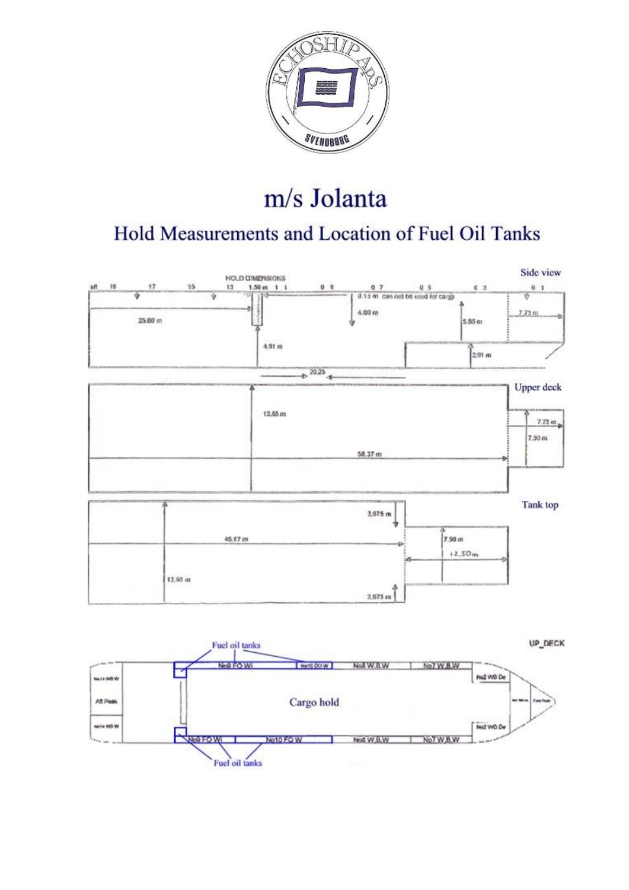

# m/s Jolanta

# Hold Measurements and Location of Fuel Oil Tanks



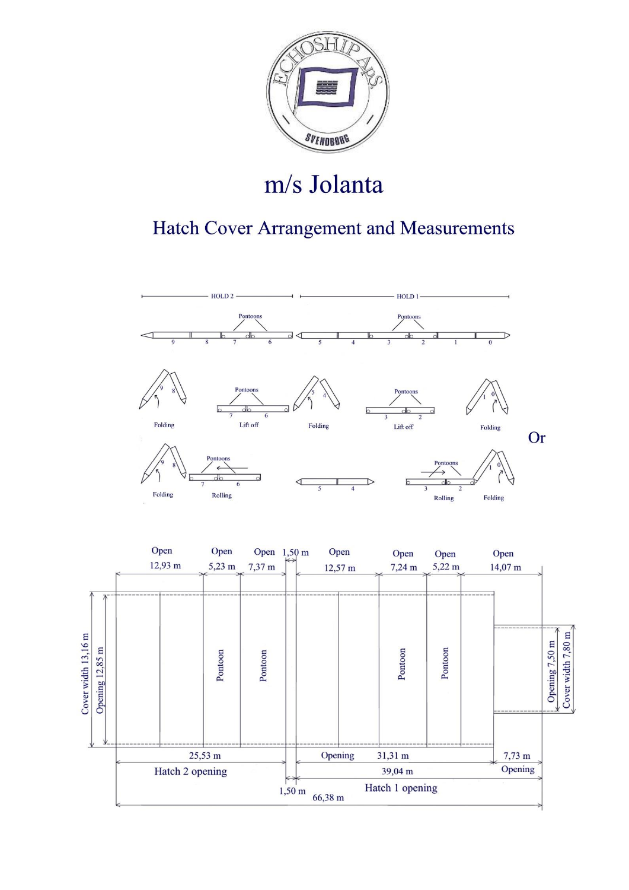

# m/s Jolanta

## Hatch Cover Arrangement and Measurements



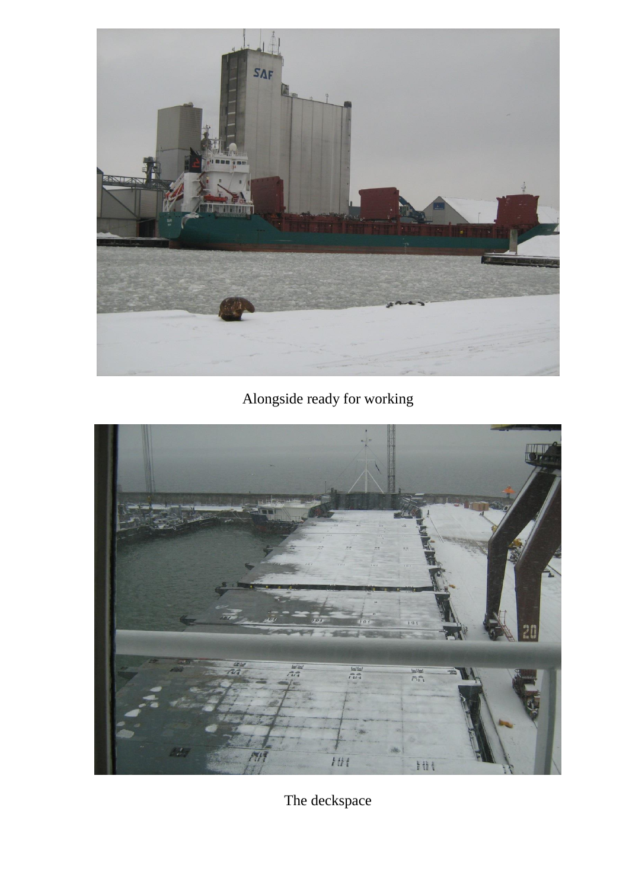

Alongside ready for working



The deckspace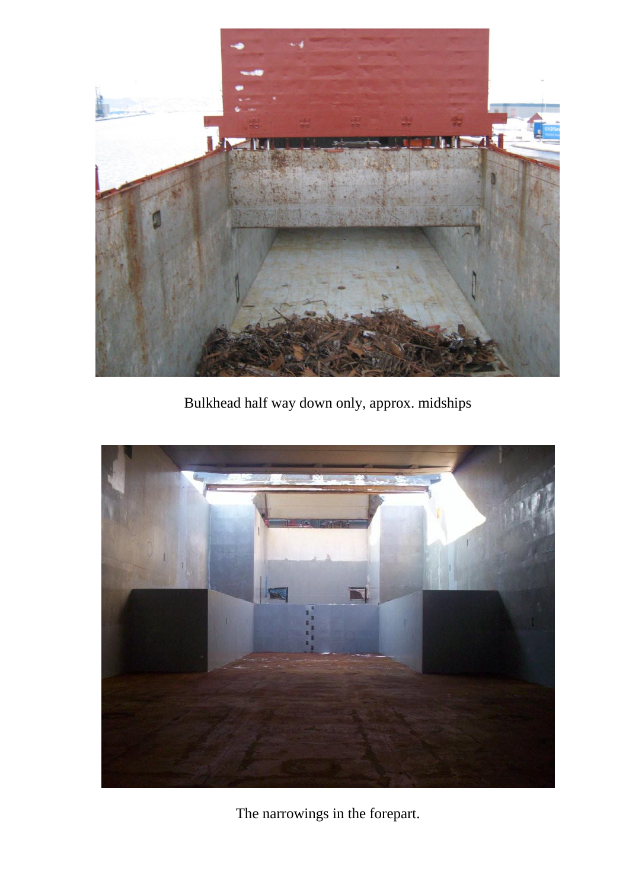

Bulkhead half way down only, approx. midships



The narrowings in the forepart.